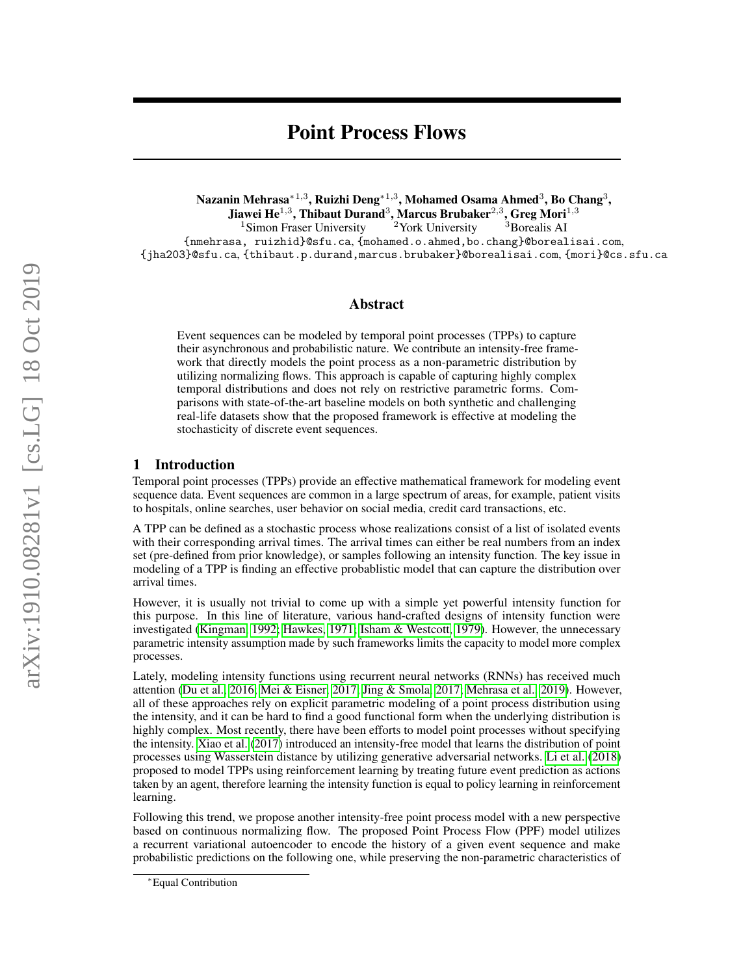# Point Process Flows

Nazanin Mehrasa $^{\ast1,3}$ , Ruizhi Deng $^{\ast1,3}$ , Mohamed Osama Ahmed $^3$ , Bo Chang $^3,$ Jiawei He $^{1,3}$ , Thibaut Durand $^3$ , Marcus Brubaker $^{2,3}$ , Greg Mori $^{1,3}$ 

<sup>1</sup>Simon Fraser University  $2$  York University  $3$  Borealis AI {nmehrasa, ruizhid}@sfu.ca, {mohamed.o.ahmed,bo.chang}@borealisai.com, {jha203}@sfu.ca, {thibaut.p.durand,marcus.brubaker}@borealisai.com, {mori}@cs.sfu.ca

## Abstract

Event sequences can be modeled by temporal point processes (TPPs) to capture their asynchronous and probabilistic nature. We contribute an intensity-free framework that directly models the point process as a non-parametric distribution by utilizing normalizing flows. This approach is capable of capturing highly complex temporal distributions and does not rely on restrictive parametric forms. Comparisons with state-of-the-art baseline models on both synthetic and challenging real-life datasets show that the proposed framework is effective at modeling the stochasticity of discrete event sequences.

## 1 Introduction

Temporal point processes (TPPs) provide an effective mathematical framework for modeling event sequence data. Event sequences are common in a large spectrum of areas, for example, patient visits to hospitals, online searches, user behavior on social media, credit card transactions, etc.

A TPP can be defined as a stochastic process whose realizations consist of a list of isolated events with their corresponding arrival times. The arrival times can either be real numbers from an index set (pre-defined from prior knowledge), or samples following an intensity function. The key issue in modeling of a TPP is finding an effective probablistic model that can capture the distribution over arrival times.

However, it is usually not trivial to come up with a simple yet powerful intensity function for this purpose. In this line of literature, various hand-crafted designs of intensity function were investigated [\(Kingman, 1992;](#page-4-0) [Hawkes, 1971;](#page-4-1) [Isham & Westcott, 1979\)](#page-4-2). However, the unnecessary parametric intensity assumption made by such frameworks limits the capacity to model more complex processes.

Lately, modeling intensity functions using recurrent neural networks (RNNs) has received much attention [\(Du et al., 2016;](#page-4-3) [Mei & Eisner, 2017;](#page-4-4) [Jing & Smola, 2017;](#page-4-5) [Mehrasa et al., 2019\)](#page-4-6). However, all of these approaches rely on explicit parametric modeling of a point process distribution using the intensity, and it can be hard to find a good functional form when the underlying distribution is highly complex. Most recently, there have been efforts to model point processes without specifying the intensity. [Xiao et al.](#page-5-0) [\(2017\)](#page-5-0) introduced an intensity-free model that learns the distribution of point processes using Wasserstein distance by utilizing generative adversarial networks. [Li et al.](#page-4-7) [\(2018\)](#page-4-7) proposed to model TPPs using reinforcement learning by treating future event prediction as actions taken by an agent, therefore learning the intensity function is equal to policy learning in reinforcement learning.

Following this trend, we propose another intensity-free point process model with a new perspective based on continuous normalizing flow. The proposed Point Process Flow (PPF) model utilizes a recurrent variational autoencoder to encode the history of a given event sequence and make probabilistic predictions on the following one, while preserving the non-parametric characteristics of

<sup>∗</sup>Equal Contribution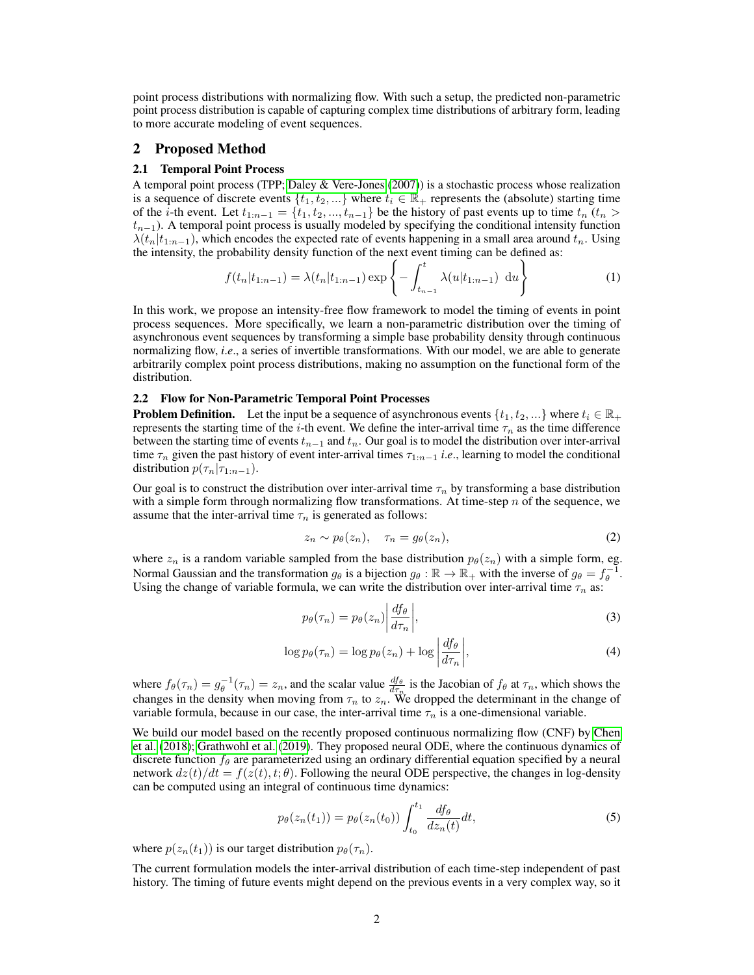point process distributions with normalizing flow. With such a setup, the predicted non-parametric point process distribution is capable of capturing complex time distributions of arbitrary form, leading to more accurate modeling of event sequences.

# 2 Proposed Method

## 2.1 Temporal Point Process

A temporal point process (TPP; [Daley & Vere-Jones](#page-4-8) [\(2007\)](#page-4-8)) is a stochastic process whose realization is a sequence of discrete events  $\{t_1, t_2, ...\}$  where  $t_i \in \mathbb{R}_+$  represents the (absolute) starting time of the *i*-th event. Let  $t_{1:n-1} = \{t_1, t_2, ..., t_{n-1}\}$  be the history of past events up to time  $t_n$  ( $t_n >$  $t_{n-1}$ ). A temporal point process is usually modeled by specifying the conditional intensity function  $\lambda(t_n|t_{1:n-1})$ , which encodes the expected rate of events happening in a small area around  $t_n$ . Using the intensity, the probability density function of the next event timing can be defined as:

$$
f(t_n|t_{1:n-1}) = \lambda(t_n|t_{1:n-1}) \exp\left\{-\int_{t_{n-1}}^t \lambda(u|t_{1:n-1}) \, du\right\} \tag{1}
$$

In this work, we propose an intensity-free flow framework to model the timing of events in point process sequences. More specifically, we learn a non-parametric distribution over the timing of asynchronous event sequences by transforming a simple base probability density through continuous normalizing flow, *i*.*e*., a series of invertible transformations. With our model, we are able to generate arbitrarily complex point process distributions, making no assumption on the functional form of the distribution.

#### 2.2 Flow for Non-Parametric Temporal Point Processes

**Problem Definition.** Let the input be a sequence of asynchronous events  $\{t_1, t_2, ...\}$  where  $t_i \in \mathbb{R}_+$ represents the starting time of the *i*-th event. We define the inter-arrival time  $\tau_n$  as the time difference between the starting time of events  $t_{n-1}$  and  $t_n$ . Our goal is to model the distribution over inter-arrival time  $\tau_n$  given the past history of event inter-arrival times  $\tau_{1:n-1}$  *i.e.*, learning to model the conditional distribution  $p(\tau_n|\tau_{1:n-1})$ .

Our goal is to construct the distribution over inter-arrival time  $\tau_n$  by transforming a base distribution with a simple form through normalizing flow transformations. At time-step  $n$  of the sequence, we assume that the inter-arrival time  $\tau_n$  is generated as follows:

<span id="page-1-1"></span>
$$
z_n \sim p_\theta(z_n), \quad \tau_n = g_\theta(z_n), \tag{2}
$$

where  $z_n$  is a random variable sampled from the base distribution  $p_\theta(z_n)$  with a simple form, eg. Normal Gaussian and the transformation  $g_{\theta}$  is a bijection  $g_{\theta} : \mathbb{R} \to \mathbb{R}_+$  with the inverse of  $g_{\theta} = f_{\theta}^{-1}$ . Using the change of variable formula, we can write the distribution over inter-arrival time  $\tau_n$  as:

$$
p_{\theta}(\tau_n) = p_{\theta}(z_n) \left| \frac{df_{\theta}}{d\tau_n} \right|, \tag{3}
$$

$$
\log p_{\theta}(\tau_n) = \log p_{\theta}(z_n) + \log \left| \frac{df_{\theta}}{d\tau_n} \right|,\tag{4}
$$

where  $f_{\theta}(\tau_n) = g_{\theta}^{-1}(\tau_n) = z_n$ , and the scalar value  $\frac{df_{\theta}}{d\tau_n}$  is the Jacobian of  $f_{\theta}$  at  $\tau_n$ , which shows the changes in the density when moving from  $\tau_n$  to  $z_n$ . We dropped the determinant in the change of variable formula, because in our case, the inter-arrival time  $\tau_n$  is a one-dimensional variable.

We build our model based on the recently proposed continuous normalizing flow (CNF) by [Chen](#page-4-9) [et al.](#page-4-9) [\(2018\)](#page-4-9); [Grathwohl et al.](#page-4-10) [\(2019\)](#page-4-10). They proposed neural ODE, where the continuous dynamics of discrete function  $f_\theta$  are parameterized using an ordinary differential equation specified by a neural network  $dz(t)/dt = f(z(t), t; \theta)$ . Following the neural ODE perspective, the changes in log-density can be computed using an integral of continuous time dynamics:

<span id="page-1-0"></span>
$$
p_{\theta}(z_n(t_1)) = p_{\theta}(z_n(t_0)) \int_{t_0}^{t_1} \frac{df_{\theta}}{dz_n(t)} dt,
$$
\n<sup>(5)</sup>

where  $p(z_n(t_1))$  is our target distribution  $p_\theta(\tau_n)$ .

The current formulation models the inter-arrival distribution of each time-step independent of past history. The timing of future events might depend on the previous events in a very complex way, so it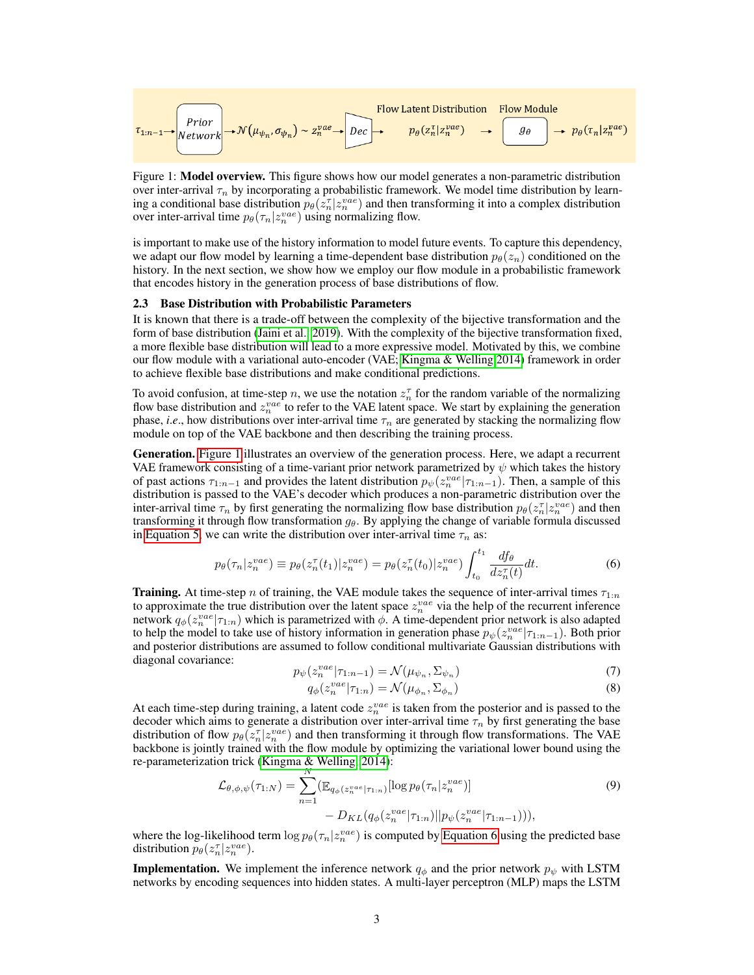<span id="page-2-0"></span>
$$
\tau_{1:n-1} \rightarrow \text{Prior} \rightarrow \mathcal{N}(\mu_{\psi_n}, \sigma_{\psi_n}) \sim z_n^{vae} \rightarrow \text{Dec} \rightarrow \text{Dec} \rightarrow p_{\theta}(z_n^{\tau} | z_n^{vae}) \rightarrow \text{Cone} \rightarrow p_{\theta}(\tau_n | z_n^{vae})
$$

Figure 1: **Model overview.** This figure shows how our model generates a non-parametric distribution over inter-arrival  $\tau_n$  by incorporating a probabilistic framework. We model time distribution by learning a conditional base distribution  $p_{\theta}(z_n^{\tau} | z_n^{vae})$  and then transforming it into a complex distribution over inter-arrival time  $p_\theta(\tau_n|z_n^{vae})$  using normalizing flow.

is important to make use of the history information to model future events. To capture this dependency, we adapt our flow model by learning a time-dependent base distribution  $p_{\theta}(z_n)$  conditioned on the history. In the next section, we show how we employ our flow module in a probabilistic framework that encodes history in the generation process of base distributions of flow.

### 2.3 Base Distribution with Probabilistic Parameters

It is known that there is a trade-off between the complexity of the bijective transformation and the form of base distribution [\(Jaini et al., 2019\)](#page-4-11). With the complexity of the bijective transformation fixed, a more flexible base distribution will lead to a more expressive model. Motivated by this, we combine our flow module with a variational auto-encoder (VAE; [Kingma & Welling 2014\)](#page-4-12) framework in order to achieve flexible base distributions and make conditional predictions.

To avoid confusion, at time-step n, we use the notation  $z_n^{\tau}$  for the random variable of the normalizing flow base distribution and  $z_n^{vae}$  to refer to the VAE latent space. We start by explaining the generation phase, *i.e.*, how distributions over inter-arrival time  $\tau_n$  are generated by stacking the normalizing flow module on top of the VAE backbone and then describing the training process.

Generation. [Figure 1](#page-2-0) illustrates an overview of the generation process. Here, we adapt a recurrent VAE framework consisting of a time-variant prior network parametrized by  $\psi$  which takes the history of past actions  $\tau_{1:n-1}$  and provides the latent distribution  $p_\psi(z_n^{vae}|\tau_{1:n-1})$ . Then, a sample of this distribution is passed to the VAE's decoder which produces a non-parametric distribution over the inter-arrival time  $\tau_n$  by first generating the normalizing flow base distribution  $p_\theta(z_n^{\tau}|z_n^{vae})$  and then transforming it through flow transformation  $g_{\theta}$ . By applying the change of variable formula discussed in [Equation 5,](#page-1-0) we can write the distribution over inter-arrival time  $\tau_n$  as:

$$
p_{\theta}(\tau_n|z_n^{vae}) \equiv p_{\theta}(z_n^{\tau}(t_1)|z_n^{vae}) = p_{\theta}(z_n^{\tau}(t_0)|z_n^{vae}) \int_{t_0}^{t_1} \frac{df_{\theta}}{dz_n^{\tau}(t)}dt.
$$
 (6)

**Training.** At time-step n of training, the VAE module takes the sequence of inter-arrival times  $\tau_{1:n}$ to approximate the true distribution over the latent space  $z_n^{vae}$  via the help of the recurrent inference network  $q_{\phi}(z_n^{vae}|\tau_{1:n})$  which is parametrized with  $\phi$ . A time-dependent prior network is also adapted to help the model to take use of history information in generation phase  $p_{\psi}(z_n^{vae}|\tau_{1:n-1})$ . Both prior and posterior distributions are assumed to follow conditional multivariate Gaussian distributions with diagonal covariance:

$$
p_{\psi}(z_n^{vae}|\tau_{1:n-1}) = \mathcal{N}(\mu_{\psi_n}, \Sigma_{\psi_n})
$$
\n<sup>(7)</sup>

<span id="page-2-1"></span>
$$
q_{\phi}(z_n^{vae}|\tau_{1:n}) = \mathcal{N}(\mu_{\phi_n}, \Sigma_{\phi_n})
$$
\n(8)

At each time-step during training, a latent code  $z_n^{vae}$  is taken from the posterior and is passed to the decoder which aims to generate a distribution over inter-arrival time  $\tau_n$  by first generating the base distribution of flow  $p_\theta(z_n^{\tau}|z_n^{vae})$  and then transforming it through flow transformations. The VAE backbone is jointly trained with the flow module by optimizing the variational lower bound using the re-parameterization trick [\(Kingma & Welling, 2014\)](#page-4-12):

$$
\mathcal{L}_{\theta,\phi,\psi}(\tau_{1:N}) = \sum_{n=1}^{N} (\mathbb{E}_{q_{\phi}(z_n^{vac}|\tau_{1:n})}[\log p_{\theta}(\tau_n|z_n^{vae})] - D_{KL}(q_{\phi}(z_n^{vac}|\tau_{1:n})||p_{\psi}(z_n^{vae}|\tau_{1:n-1}))),
$$
\n(9)

where the log-likelihood term  $\log p_{\theta}(\tau_n|z_n^{vae})$  is computed by [Equation 6](#page-2-1) using the predicted base distribution  $p_{\theta}(z_n^{\tau}|z_n^{vae}).$ 

**Implementation.** We implement the inference network  $q_{\phi}$  and the prior network  $p_{\psi}$  with LSTM networks by encoding sequences into hidden states. A multi-layer perceptron (MLP) maps the LSTM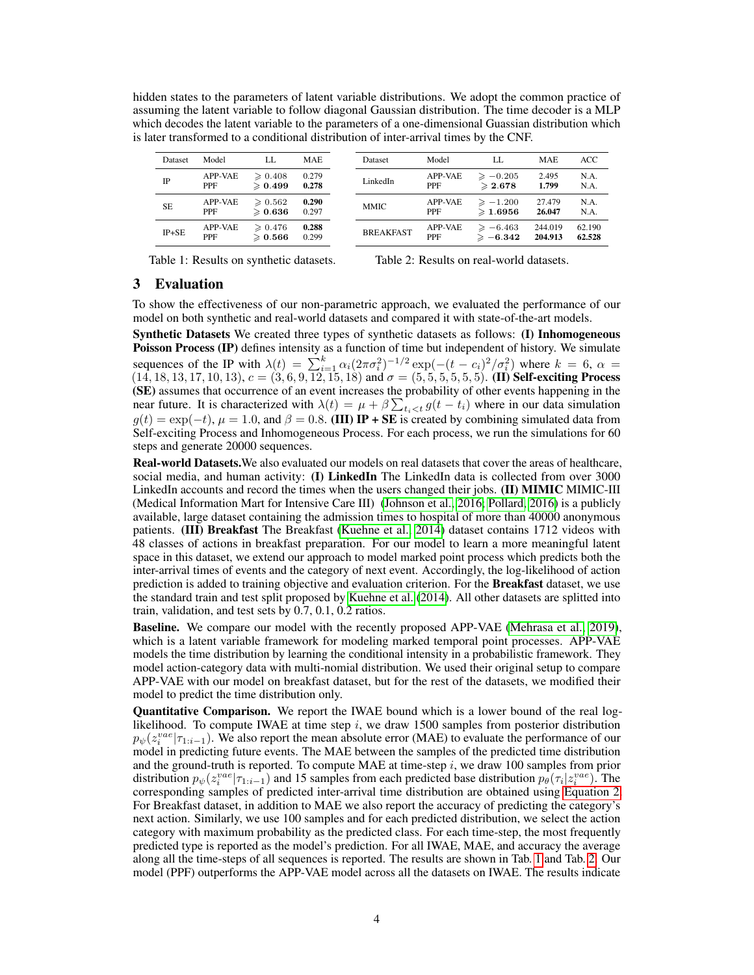hidden states to the parameters of latent variable distributions. We adopt the common practice of assuming the latent variable to follow diagonal Gaussian distribution. The time decoder is a MLP which decodes the latent variable to the parameters of a one-dimensional Guassian distribution which is later transformed to a conditional distribution of inter-arrival times by the CNF.

| <b>Dataset</b> | Model                 | LL.                                    | <b>MAE</b>     | Dataset          | Model                 | LL.                                      | <b>MAE</b>         | ACC              |
|----------------|-----------------------|----------------------------------------|----------------|------------------|-----------------------|------------------------------------------|--------------------|------------------|
| $_{\rm IP}$    | APP-VAE<br><b>PPF</b> | $\geqslant 0.408$<br>$\geqslant 0.499$ | 0.279<br>0.278 | LinkedIn         | APP-VAE<br><b>PPF</b> | $\geqslant -0.205$<br>$\geqslant 2.678$  | 2.495<br>1.799     | N.A.<br>N.A.     |
| <b>SE</b>      | APP-VAE<br><b>PPF</b> | $\geqslant 0.562$<br>$\geqslant 0.636$ | 0.290<br>0.297 | <b>MMIC</b>      | APP-VAE<br><b>PPF</b> | $\geqslant -1.200$<br>$\geqslant$ 1.6956 | 27.479<br>26.047   | N.A.<br>N.A.     |
| $IP + SE$      | APP-VAE<br><b>PPF</b> | $\geqslant 0.476$<br>$\geqslant 0.566$ | 0.288<br>0.299 | <b>BREAKFAST</b> | APP-VAE<br><b>PPF</b> | $\geqslant -6.463$<br>$\geqslant -6.342$ | 244.019<br>204.913 | 62.190<br>62.528 |
|                |                       |                                        |                |                  |                       |                                          |                    |                  |

<span id="page-3-0"></span>Table 1: Results on synthetic datasets.

<span id="page-3-1"></span>Table 2: Results on real-world datasets.

## 3 Evaluation

To show the effectiveness of our non-parametric approach, we evaluated the performance of our model on both synthetic and real-world datasets and compared it with state-of-the-art models.

Synthetic Datasets We created three types of synthetic datasets as follows: (I) Inhomogeneous Poisson Process (IP) defines intensity as a function of time but independent of history. We simulate sequences of the IP with  $\lambda(t) = \sum_{i=1}^{k} \alpha_i (2\pi \sigma_i^2)^{-1/2} \exp(-(t - c_i)^2/\sigma_i^2)$  where  $k = 6$ ,  $\alpha =$  $(14, 18, 13, 17, 10, 13), c = (3, 6, 9, 12, 15, 18)$  and  $\sigma = (5, 5, 5, 5, 5, 5)$ . (II) Self-exciting Process (SE) assumes that occurrence of an event increases the probability of other events happening in the near future. It is characterized with  $\lambda(t) = \mu + \beta \sum_{t_i < t} g(t - t_i)$  where in our data simulation  $g(t) = \exp(-t)$ ,  $\mu = 1.0$ , and  $\beta = 0.8$ . (III) IP + SE is created by combining simulated data from Self-exciting Process and Inhomogeneous Process. For each process, we run the simulations for 60 steps and generate 20000 sequences.

Real-world Datasets.We also evaluated our models on real datasets that cover the areas of healthcare, social media, and human activity: (I) LinkedIn The LinkedIn data is collected from over 3000 LinkedIn accounts and record the times when the users changed their jobs. (II) MIMIC MIMIC-III (Medical Information Mart for Intensive Care III) [\(Johnson et al., 2016;](#page-4-13) [Pollard, 2016\)](#page-5-1) is a publicly available, large dataset containing the admission times to hospital of more than 40000 anonymous patients. (III) Breakfast The Breakfast [\(Kuehne et al., 2014\)](#page-4-14) dataset contains 1712 videos with 48 classes of actions in breakfast preparation. For our model to learn a more meaningful latent space in this dataset, we extend our approach to model marked point process which predicts both the inter-arrival times of events and the category of next event. Accordingly, the log-likelihood of action prediction is added to training objective and evaluation criterion. For the **Breakfast** dataset, we use the standard train and test split proposed by [Kuehne et al.](#page-4-14) [\(2014\)](#page-4-14). All other datasets are splitted into train, validation, and test sets by 0.7, 0.1, 0.2 ratios.

Baseline. We compare our model with the recently proposed APP-VAE [\(Mehrasa et al., 2019\)](#page-4-6), which is a latent variable framework for modeling marked temporal point processes. APP-VAE models the time distribution by learning the conditional intensity in a probabilistic framework. They model action-category data with multi-nomial distribution. We used their original setup to compare APP-VAE with our model on breakfast dataset, but for the rest of the datasets, we modified their model to predict the time distribution only.

Quantitative Comparison. We report the IWAE bound which is a lower bound of the real loglikelihood. To compute IWAE at time step  $i$ , we draw 1500 samples from posterior distribution  $p_{\psi}(z_i^{vae}|\tau_{1:i-1})$ . We also report the mean absolute error (MAE) to evaluate the performance of our model in predicting future events. The MAE between the samples of the predicted time distribution and the ground-truth is reported. To compute MAE at time-step  $i$ , we draw 100 samples from prior distribution  $p_{\psi}(z_i^{vae} | \tau_{1:i-1})$  and 15 samples from each predicted base distribution  $p_{\theta}(\tau_i | z_i^{vae})$ . The corresponding samples of predicted inter-arrival time distribution are obtained using [Equation 2.](#page-1-1) For Breakfast dataset, in addition to MAE we also report the accuracy of predicting the category's next action. Similarly, we use 100 samples and for each predicted distribution, we select the action category with maximum probability as the predicted class. For each time-step, the most frequently predicted type is reported as the model's prediction. For all IWAE, MAE, and accuracy the average along all the time-steps of all sequences is reported. The results are shown in Tab. [1](#page-3-0) and Tab. [2.](#page-3-1) Our model (PPF) outperforms the APP-VAE model across all the datasets on IWAE. The results indicate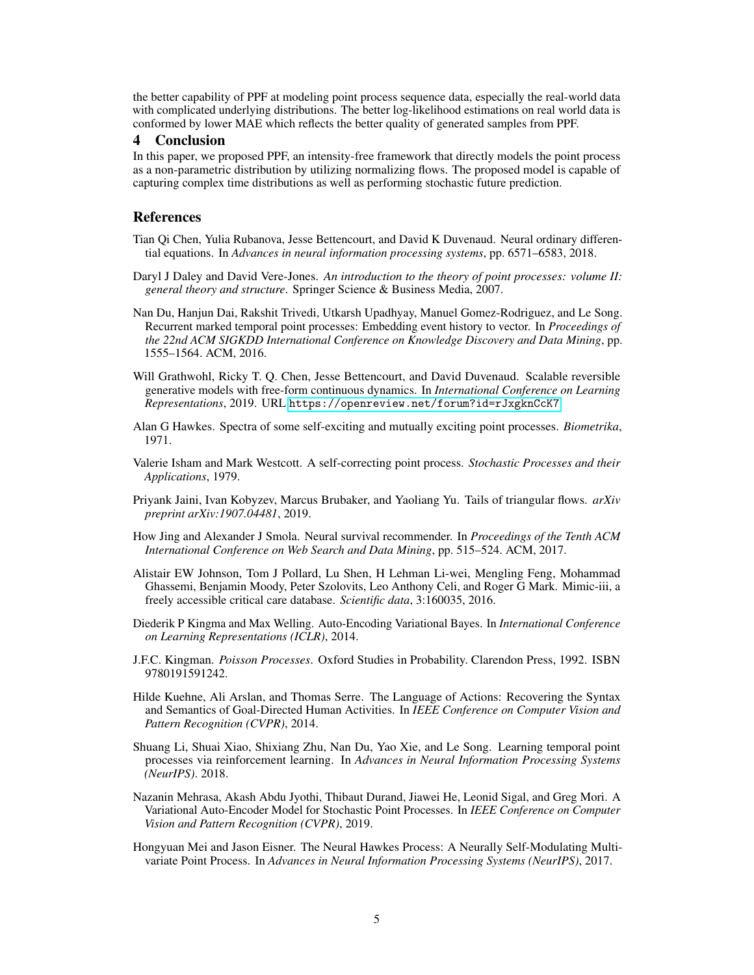the better capability of PPF at modeling point process sequence data, especially the real-world data with complicated underlying distributions. The better log-likelihood estimations on real world data is conformed by lower MAE which reflects the better quality of generated samples from PPF.

## 4 Conclusion

In this paper, we proposed PPF, an intensity-free framework that directly models the point process as a non-parametric distribution by utilizing normalizing flows. The proposed model is capable of capturing complex time distributions as well as performing stochastic future prediction.

## References

- <span id="page-4-9"></span>Tian Qi Chen, Yulia Rubanova, Jesse Bettencourt, and David K Duvenaud. Neural ordinary differential equations. In *Advances in neural information processing systems*, pp. 6571–6583, 2018.
- <span id="page-4-8"></span>Daryl J Daley and David Vere-Jones. *An introduction to the theory of point processes: volume II: general theory and structure*. Springer Science & Business Media, 2007.
- <span id="page-4-3"></span>Nan Du, Hanjun Dai, Rakshit Trivedi, Utkarsh Upadhyay, Manuel Gomez-Rodriguez, and Le Song. Recurrent marked temporal point processes: Embedding event history to vector. In *Proceedings of the 22nd ACM SIGKDD International Conference on Knowledge Discovery and Data Mining*, pp. 1555–1564. ACM, 2016.
- <span id="page-4-10"></span>Will Grathwohl, Ricky T. Q. Chen, Jesse Bettencourt, and David Duvenaud. Scalable reversible generative models with free-form continuous dynamics. In *International Conference on Learning Representations*, 2019. URL <https://openreview.net/forum?id=rJxgknCcK7>.
- <span id="page-4-1"></span>Alan G Hawkes. Spectra of some self-exciting and mutually exciting point processes. *Biometrika*, 1971.
- <span id="page-4-2"></span>Valerie Isham and Mark Westcott. A self-correcting point process. *Stochastic Processes and their Applications*, 1979.
- <span id="page-4-11"></span>Priyank Jaini, Ivan Kobyzev, Marcus Brubaker, and Yaoliang Yu. Tails of triangular flows. *arXiv preprint arXiv:1907.04481*, 2019.
- <span id="page-4-5"></span>How Jing and Alexander J Smola. Neural survival recommender. In *Proceedings of the Tenth ACM International Conference on Web Search and Data Mining*, pp. 515–524. ACM, 2017.
- <span id="page-4-13"></span>Alistair EW Johnson, Tom J Pollard, Lu Shen, H Lehman Li-wei, Mengling Feng, Mohammad Ghassemi, Benjamin Moody, Peter Szolovits, Leo Anthony Celi, and Roger G Mark. Mimic-iii, a freely accessible critical care database. *Scientific data*, 3:160035, 2016.
- <span id="page-4-12"></span>Diederik P Kingma and Max Welling. Auto-Encoding Variational Bayes. In *International Conference on Learning Representations (ICLR)*, 2014.
- <span id="page-4-0"></span>J.F.C. Kingman. *Poisson Processes*. Oxford Studies in Probability. Clarendon Press, 1992. ISBN 9780191591242.
- <span id="page-4-14"></span>Hilde Kuehne, Ali Arslan, and Thomas Serre. The Language of Actions: Recovering the Syntax and Semantics of Goal-Directed Human Activities. In *IEEE Conference on Computer Vision and Pattern Recognition (CVPR)*, 2014.
- <span id="page-4-7"></span>Shuang Li, Shuai Xiao, Shixiang Zhu, Nan Du, Yao Xie, and Le Song. Learning temporal point processes via reinforcement learning. In *Advances in Neural Information Processing Systems (NeurIPS)*. 2018.
- <span id="page-4-6"></span>Nazanin Mehrasa, Akash Abdu Jyothi, Thibaut Durand, Jiawei He, Leonid Sigal, and Greg Mori. A Variational Auto-Encoder Model for Stochastic Point Processes. In *IEEE Conference on Computer Vision and Pattern Recognition (CVPR)*, 2019.
- <span id="page-4-4"></span>Hongyuan Mei and Jason Eisner. The Neural Hawkes Process: A Neurally Self-Modulating Multivariate Point Process. In *Advances in Neural Information Processing Systems (NeurIPS)*, 2017.